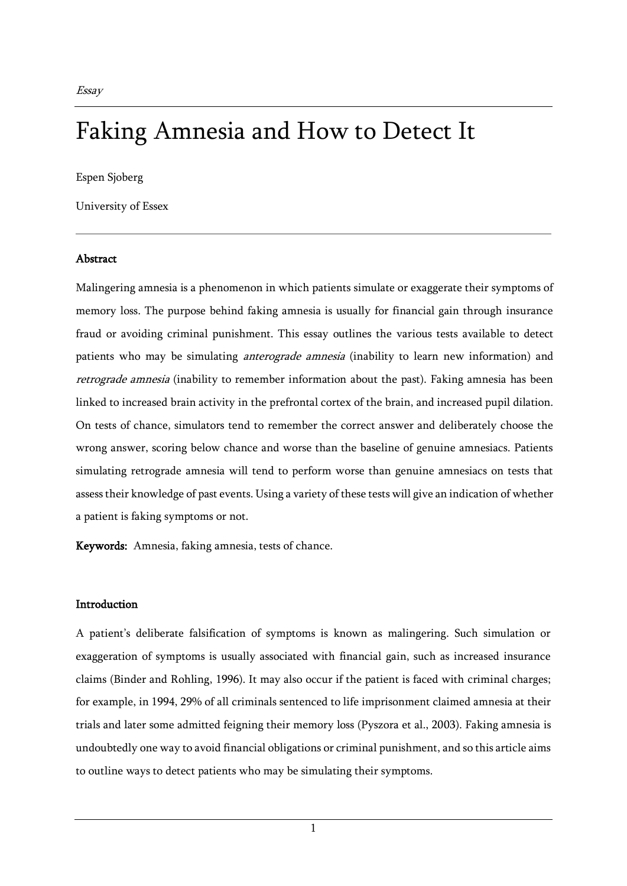# Faking Amnesia and How to Detect It

Espen Sjoberg

University of Essex

## Abstract

Malingering amnesia is a phenomenon in which patients simulate or exaggerate their symptoms of memory loss. The purpose behind faking amnesia is usually for financial gain through insurance fraud or avoiding criminal punishment. This essay outlines the various tests available to detect patients who may be simulating *anterograde amnesia* (inability to learn new information) and retrograde amnesia (inability to remember information about the past). Faking amnesia has been linked to increased brain activity in the prefrontal cortex of the brain, and increased pupil dilation. On tests of chance, simulators tend to remember the correct answer and deliberately choose the wrong answer, scoring below chance and worse than the baseline of genuine amnesiacs. Patients simulating retrograde amnesia will tend to perform worse than genuine amnesiacs on tests that assess their knowledge of past events. Using a variety of these tests will give an indication of whether a patient is faking symptoms or not.

Keywords: Amnesia, faking amnesia, tests of chance.

# **Introduction**

A patient's deliberate falsification of symptoms is known as malingering. Such simulation or exaggeration of symptoms is usually associated with financial gain, such as increased insurance claims (Binder and Rohling, 1996). It may also occur if the patient is faced with criminal charges; for example, in 1994, 29% of all criminals sentenced to life imprisonment claimed amnesia at their trials and later some admitted feigning their memory loss (Pyszora et al., 2003). Faking amnesia is undoubtedly one way to avoid financial obligations or criminal punishment, and so this article aims to outline ways to detect patients who may be simulating their symptoms.

1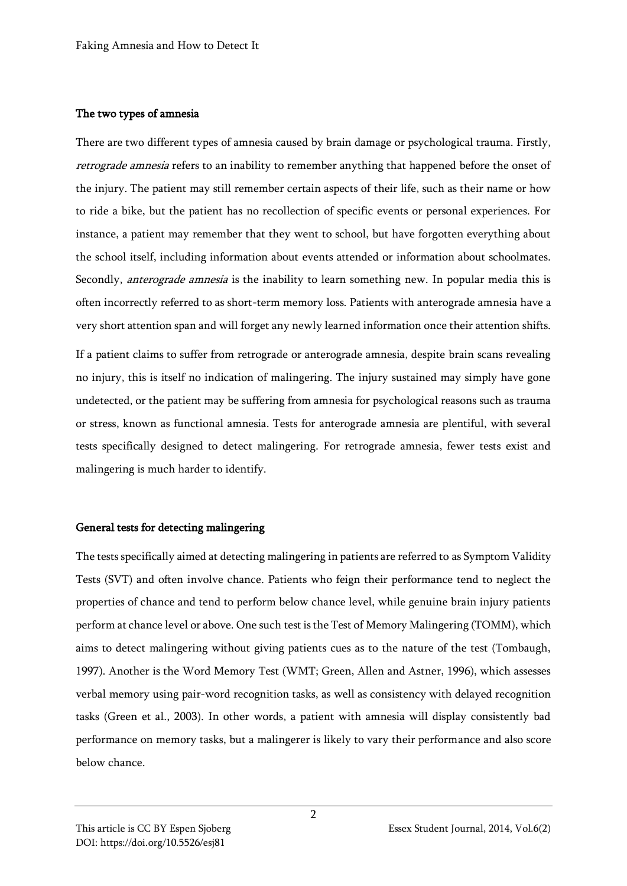## The two types of amnesia

There are two different types of amnesia caused by brain damage or psychological trauma. Firstly, retrograde amnesia refers to an inability to remember anything that happened before the onset of the injury. The patient may still remember certain aspects of their life, such as their name or how to ride a bike, but the patient has no recollection of specific events or personal experiences. For instance, a patient may remember that they went to school, but have forgotten everything about the school itself, including information about events attended or information about schoolmates. Secondly, *anterograde amnesia* is the inability to learn something new. In popular media this is often incorrectly referred to as short-term memory loss. Patients with anterograde amnesia have a very short attention span and will forget any newly learned information once their attention shifts.

If a patient claims to suffer from retrograde or anterograde amnesia, despite brain scans revealing no injury, this is itself no indication of malingering. The injury sustained may simply have gone undetected, or the patient may be suffering from amnesia for psychological reasons such as trauma or stress, known as functional amnesia. Tests for anterograde amnesia are plentiful, with several tests specifically designed to detect malingering. For retrograde amnesia, fewer tests exist and malingering is much harder to identify.

# General tests for detecting malingering

The tests specifically aimed at detecting malingering in patients are referred to as Symptom Validity Tests (SVT) and often involve chance. Patients who feign their performance tend to neglect the properties of chance and tend to perform below chance level, while genuine brain injury patients perform at chance level or above. One such test is the Test of Memory Malingering (TOMM), which aims to detect malingering without giving patients cues as to the nature of the test (Tombaugh, 1997). Another is the Word Memory Test (WMT; Green, Allen and Astner, 1996), which assesses verbal memory using pair-word recognition tasks, as well as consistency with delayed recognition tasks (Green et al., 2003). In other words, a patient with amnesia will display consistently bad performance on memory tasks, but a malingerer is likely to vary their performance and also score below chance.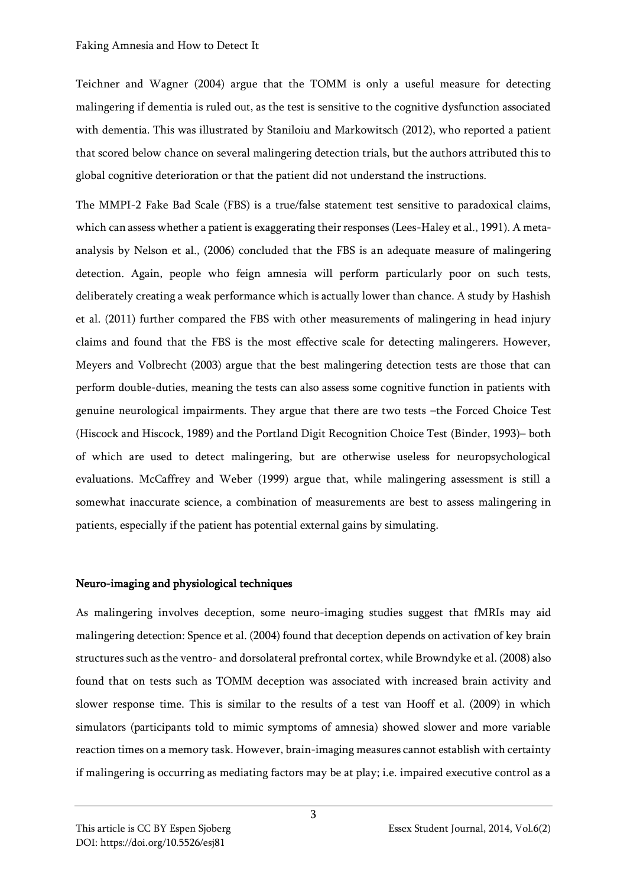#### Faking Amnesia and How to Detect It

Teichner and Wagner (2004) argue that the TOMM is only a useful measure for detecting malingering if dementia is ruled out, as the test is sensitive to the cognitive dysfunction associated with dementia. This was illustrated by Staniloiu and Markowitsch (2012), who reported a patient that scored below chance on several malingering detection trials, but the authors attributed this to global cognitive deterioration or that the patient did not understand the instructions.

The MMPI-2 Fake Bad Scale (FBS) is a true/false statement test sensitive to paradoxical claims, which can assess whether a patient is exaggerating their responses (Lees-Haley et al., 1991). A metaanalysis by Nelson et al., (2006) concluded that the FBS is an adequate measure of malingering detection. Again, people who feign amnesia will perform particularly poor on such tests, deliberately creating a weak performance which is actually lower than chance. A study by Hashish et al. (2011) further compared the FBS with other measurements of malingering in head injury claims and found that the FBS is the most effective scale for detecting malingerers. However, Meyers and Volbrecht (2003) argue that the best malingering detection tests are those that can perform double-duties, meaning the tests can also assess some cognitive function in patients with genuine neurological impairments. They argue that there are two tests –the Forced Choice Test (Hiscock and Hiscock, 1989) and the Portland Digit Recognition Choice Test (Binder, 1993)– both of which are used to detect malingering, but are otherwise useless for neuropsychological evaluations. McCaffrey and Weber (1999) argue that, while malingering assessment is still a somewhat inaccurate science, a combination of measurements are best to assess malingering in patients, especially if the patient has potential external gains by simulating.

### Neuro-imaging and physiological techniques

As malingering involves deception, some neuro-imaging studies suggest that fMRIs may aid malingering detection: Spence et al. (2004) found that deception depends on activation of key brain structures such as the ventro- and dorsolateral prefrontal cortex, while Browndyke et al. (2008) also found that on tests such as TOMM deception was associated with increased brain activity and slower response time. This is similar to the results of a test van Hooff et al. (2009) in which simulators (participants told to mimic symptoms of amnesia) showed slower and more variable reaction times on a memory task. However, brain-imaging measures cannot establish with certainty if malingering is occurring as mediating factors may be at play; i.e. impaired executive control as a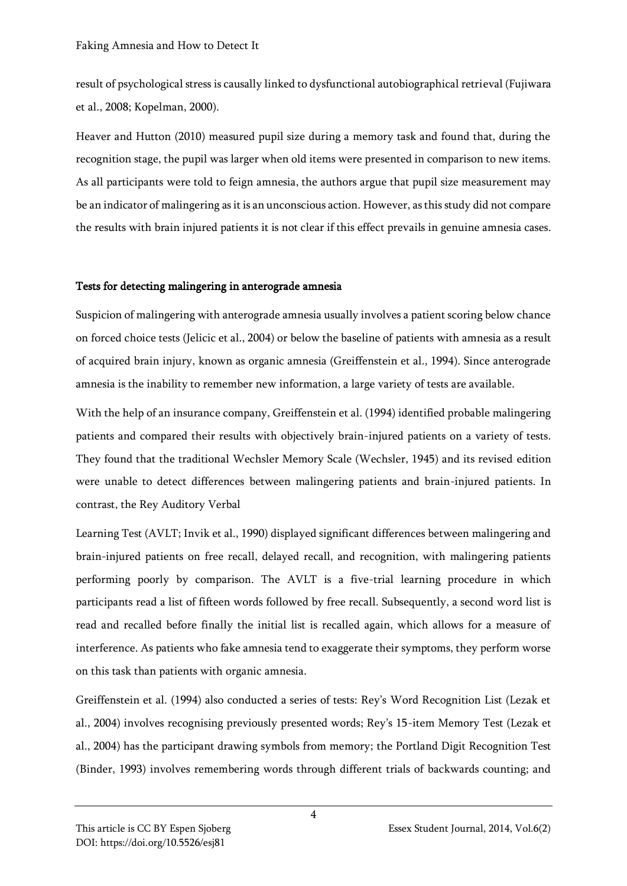result of psychological stress is causally linked to dysfunctional autobiographical retrieval (Fujiwara et al., 2008; Kopelman, 2000).

Heaver and Hutton (2010) measured pupil size during a memory task and found that, during the recognition stage, the pupil was larger when old items were presented in comparison to new items. As all participants were told to feign amnesia, the authors argue that pupil size measurement may be an indicator of malingering as it is an unconscious action. However, as this study did not compare the results with brain injured patients it is not clear if this effect prevails in genuine amnesia cases.

# Tests for detecting malingering in anterograde amnesia

Suspicion of malingering with anterograde amnesia usually involves a patient scoring below chance on forced choice tests (Jelicic et al., 2004) or below the baseline of patients with amnesia as a result of acquired brain injury, known as organic amnesia (Greiffenstein et al., 1994). Since anterograde amnesia is the inability to remember new information, a large variety of tests are available.

With the help of an insurance company, Greiffenstein et al. (1994) identified probable malingering patients and compared their results with objectively brain-injured patients on a variety of tests. They found that the traditional Wechsler Memory Scale (Wechsler, 1945) and its revised edition were unable to detect differences between malingering patients and brain-injured patients. In contrast, the Rey Auditory Verbal

Learning Test (AVLT; Invik et al., 1990) displayed significant differences between malingering and brain-injured patients on free recall, delayed recall, and recognition, with malingering patients performing poorly by comparison. The AVLT is a five-trial learning procedure in which participants read a list of fifteen words followed by free recall. Subsequently, a second word list is read and recalled before finally the initial list is recalled again, which allows for a measure of interference. As patients who fake amnesia tend to exaggerate their symptoms, they perform worse on this task than patients with organic amnesia.

Greiffenstein et al. (1994) also conducted a series of tests: Rey's Word Recognition List (Lezak et al., 2004) involves recognising previously presented words; Rey's 15-item Memory Test (Lezak et al., 2004) has the participant drawing symbols from memory; the Portland Digit Recognition Test (Binder, 1993) involves remembering words through different trials of backwards counting; and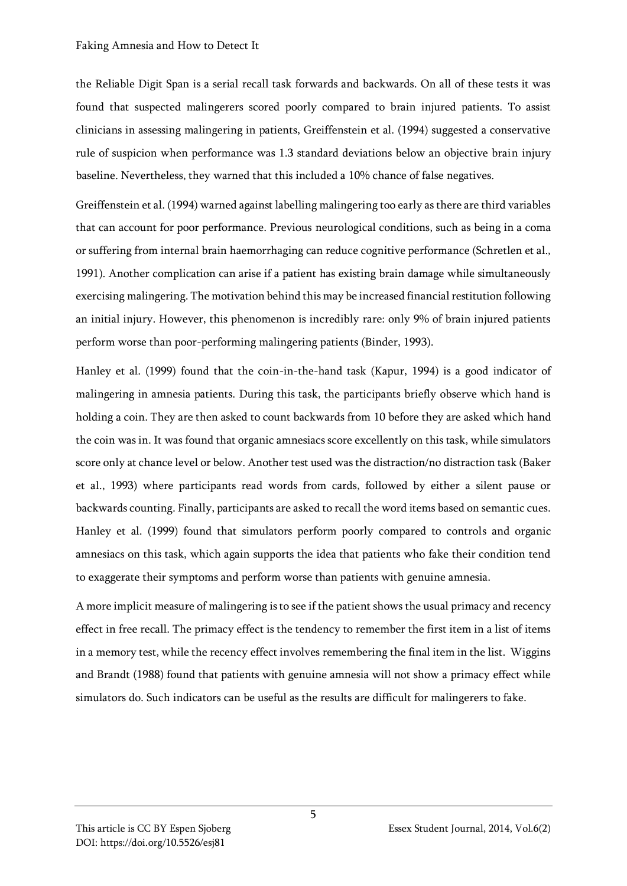#### Faking Amnesia and How to Detect It

the Reliable Digit Span is a serial recall task forwards and backwards. On all of these tests it was found that suspected malingerers scored poorly compared to brain injured patients. To assist clinicians in assessing malingering in patients, Greiffenstein et al. (1994) suggested a conservative rule of suspicion when performance was 1.3 standard deviations below an objective brain injury baseline. Nevertheless, they warned that this included a 10% chance of false negatives.

Greiffenstein et al. (1994) warned against labelling malingering too early as there are third variables that can account for poor performance. Previous neurological conditions, such as being in a coma or suffering from internal brain haemorrhaging can reduce cognitive performance (Schretlen et al., 1991). Another complication can arise if a patient has existing brain damage while simultaneously exercising malingering. The motivation behind this may be increased financial restitution following an initial injury. However, this phenomenon is incredibly rare: only 9% of brain injured patients perform worse than poor-performing malingering patients (Binder, 1993).

Hanley et al. (1999) found that the coin-in-the-hand task (Kapur, 1994) is a good indicator of malingering in amnesia patients. During this task, the participants briefly observe which hand is holding a coin. They are then asked to count backwards from 10 before they are asked which hand the coin was in. It was found that organic amnesiacs score excellently on this task, while simulators score only at chance level or below. Another test used was the distraction/no distraction task (Baker et al., 1993) where participants read words from cards, followed by either a silent pause or backwards counting. Finally, participants are asked to recall the word items based on semantic cues. Hanley et al. (1999) found that simulators perform poorly compared to controls and organic amnesiacs on this task, which again supports the idea that patients who fake their condition tend to exaggerate their symptoms and perform worse than patients with genuine amnesia.

A more implicit measure of malingering is to see if the patient shows the usual primacy and recency effect in free recall. The primacy effect is the tendency to remember the first item in a list of items in a memory test, while the recency effect involves remembering the final item in the list. Wiggins and Brandt (1988) found that patients with genuine amnesia will not show a primacy effect while simulators do. Such indicators can be useful as the results are difficult for malingerers to fake.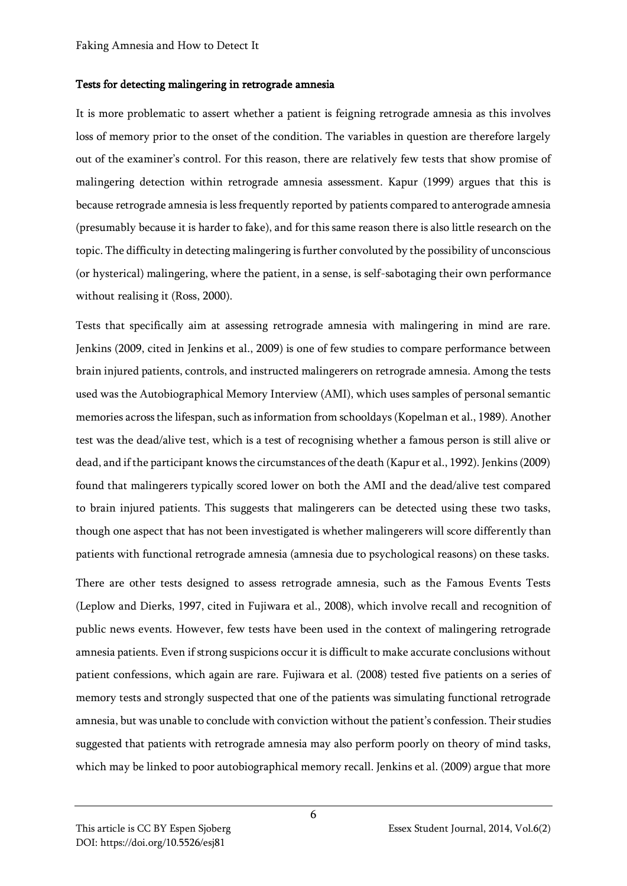#### Tests for detecting malingering in retrograde amnesia

It is more problematic to assert whether a patient is feigning retrograde amnesia as this involves loss of memory prior to the onset of the condition. The variables in question are therefore largely out of the examiner's control. For this reason, there are relatively few tests that show promise of malingering detection within retrograde amnesia assessment. Kapur (1999) argues that this is because retrograde amnesia is less frequently reported by patients compared to anterograde amnesia (presumably because it is harder to fake), and for this same reason there is also little research on the topic. The difficulty in detecting malingering is further convoluted by the possibility of unconscious (or hysterical) malingering, where the patient, in a sense, is self-sabotaging their own performance without realising it (Ross, 2000).

Tests that specifically aim at assessing retrograde amnesia with malingering in mind are rare. Jenkins (2009, cited in Jenkins et al., 2009) is one of few studies to compare performance between brain injured patients, controls, and instructed malingerers on retrograde amnesia. Among the tests used was the Autobiographical Memory Interview (AMI), which uses samples of personal semantic memories across the lifespan, such as information from schooldays (Kopelman et al., 1989). Another test was the dead/alive test, which is a test of recognising whether a famous person is still alive or dead, and if the participant knows the circumstances of the death (Kapur et al., 1992). Jenkins (2009) found that malingerers typically scored lower on both the AMI and the dead/alive test compared to brain injured patients. This suggests that malingerers can be detected using these two tasks, though one aspect that has not been investigated is whether malingerers will score differently than patients with functional retrograde amnesia (amnesia due to psychological reasons) on these tasks.

There are other tests designed to assess retrograde amnesia, such as the Famous Events Tests (Leplow and Dierks, 1997, cited in Fujiwara et al., 2008), which involve recall and recognition of public news events. However, few tests have been used in the context of malingering retrograde amnesia patients. Even if strong suspicions occur it is difficult to make accurate conclusions without patient confessions, which again are rare. Fujiwara et al. (2008) tested five patients on a series of memory tests and strongly suspected that one of the patients was simulating functional retrograde amnesia, but was unable to conclude with conviction without the patient's confession. Their studies suggested that patients with retrograde amnesia may also perform poorly on theory of mind tasks, which may be linked to poor autobiographical memory recall. Jenkins et al. (2009) argue that more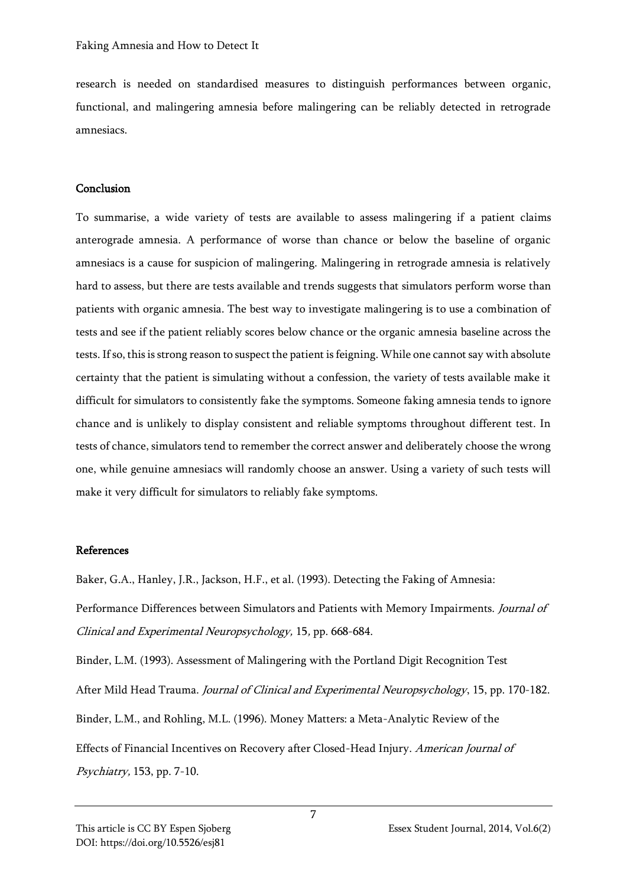research is needed on standardised measures to distinguish performances between organic, functional, and malingering amnesia before malingering can be reliably detected in retrograde amnesiacs.

### Conclusion

To summarise, a wide variety of tests are available to assess malingering if a patient claims anterograde amnesia. A performance of worse than chance or below the baseline of organic amnesiacs is a cause for suspicion of malingering. Malingering in retrograde amnesia is relatively hard to assess, but there are tests available and trends suggests that simulators perform worse than patients with organic amnesia. The best way to investigate malingering is to use a combination of tests and see if the patient reliably scores below chance or the organic amnesia baseline across the tests. If so, this is strong reason to suspect the patient is feigning. While one cannot say with absolute certainty that the patient is simulating without a confession, the variety of tests available make it difficult for simulators to consistently fake the symptoms. Someone faking amnesia tends to ignore chance and is unlikely to display consistent and reliable symptoms throughout different test. In tests of chance, simulators tend to remember the correct answer and deliberately choose the wrong one, while genuine amnesiacs will randomly choose an answer. Using a variety of such tests will make it very difficult for simulators to reliably fake symptoms.

# References

Baker, G.A., Hanley, J.R., Jackson, H.F., et al. (1993). Detecting the Faking of Amnesia:

Performance Differences between Simulators and Patients with Memory Impairments. Journal of Clinical and Experimental Neuropsychology, 15, pp. 668-684.

Binder, L.M. (1993). Assessment of Malingering with the Portland Digit Recognition Test After Mild Head Trauma. Journal of Clinical and Experimental Neuropsychology, 15, pp. 170-182. Binder, L.M., and Rohling, M.L. (1996). Money Matters: a Meta-Analytic Review of the Effects of Financial Incentives on Recovery after Closed-Head Injury. American Journal of Psychiatry, 153, pp. 7-10.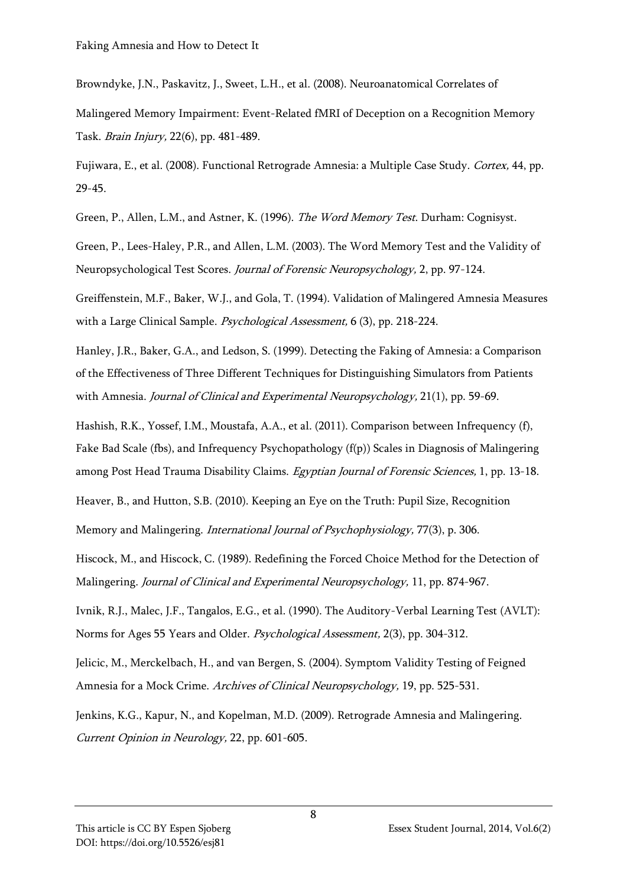Browndyke, J.N., Paskavitz, J., Sweet, L.H., et al. (2008). Neuroanatomical Correlates of

Malingered Memory Impairment: Event-Related fMRI of Deception on a Recognition Memory Task. Brain Injury, 22(6), pp. 481-489.

Fujiwara, E., et al. (2008). Functional Retrograde Amnesia: a Multiple Case Study. Cortex, 44, pp. 29-45.

Green, P., Allen, L.M., and Astner, K. (1996). The Word Memory Test. Durham: Cognisyst.

Green, P., Lees-Haley, P.R., and Allen, L.M. (2003). The Word Memory Test and the Validity of Neuropsychological Test Scores. Journal of Forensic Neuropsychology, 2, pp. 97-124.

Greiffenstein, M.F., Baker, W.J., and Gola, T. (1994). Validation of Malingered Amnesia Measures with a Large Clinical Sample. *Psychological Assessment*, 6 (3), pp. 218-224.

Hanley, J.R., Baker, G.A., and Ledson, S. (1999). Detecting the Faking of Amnesia: a Comparison of the Effectiveness of Three Different Techniques for Distinguishing Simulators from Patients with Amnesia. Journal of Clinical and Experimental Neuropsychology, 21(1), pp. 59-69.

Hashish, R.K., Yossef, I.M., Moustafa, A.A., et al. (2011). Comparison between Infrequency (f), Fake Bad Scale (fbs), and Infrequency Psychopathology (f(p)) Scales in Diagnosis of Malingering among Post Head Trauma Disability Claims. Egyptian Journal of Forensic Sciences, 1, pp. 13-18.

Heaver, B., and Hutton, S.B. (2010). Keeping an Eye on the Truth: Pupil Size, Recognition

Memory and Malingering. International Journal of Psychophysiology, 77(3), p. 306.

Hiscock, M., and Hiscock, C. (1989). Redefining the Forced Choice Method for the Detection of Malingering. Journal of Clinical and Experimental Neuropsychology, 11, pp. 874-967.

Ivnik, R.J., Malec, J.F., Tangalos, E.G., et al. (1990). The Auditory-Verbal Learning Test (AVLT): Norms for Ages 55 Years and Older. Psychological Assessment, 2(3), pp. 304-312.

Jelicic, M., Merckelbach, H., and van Bergen, S. (2004). Symptom Validity Testing of Feigned Amnesia for a Mock Crime. Archives of Clinical Neuropsychology, 19, pp. 525-531.

Jenkins, K.G., Kapur, N., and Kopelman, M.D. (2009). Retrograde Amnesia and Malingering. Current Opinion in Neurology, 22, pp. 601-605.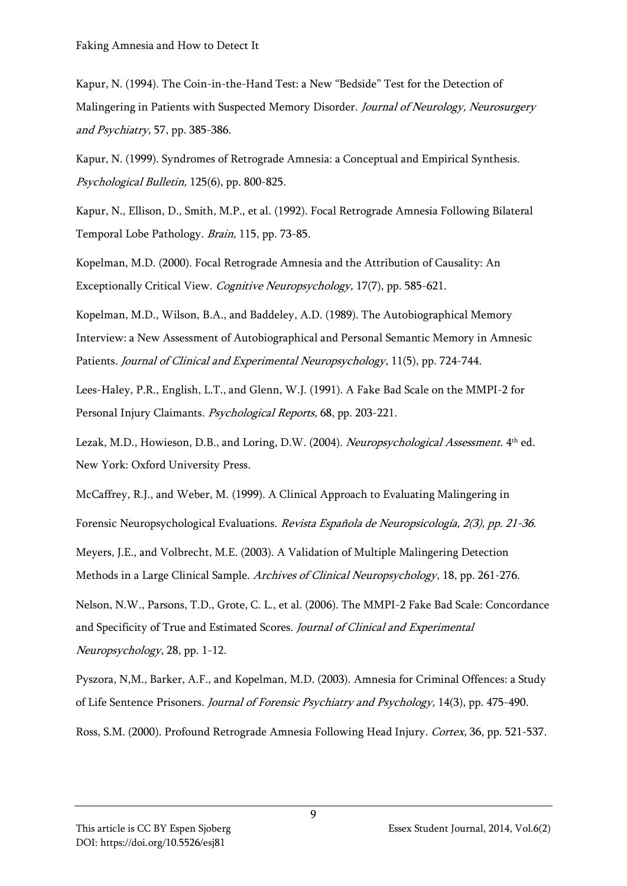Kapur, N. (1994). The Coin-in-the-Hand Test: a New "Bedside" Test for the Detection of Malingering in Patients with Suspected Memory Disorder. Journal of Neurology, Neurosurgery and Psychiatry, 57, pp. 385-386.

Kapur, N. (1999). Syndromes of Retrograde Amnesia: a Conceptual and Empirical Synthesis. Psychological Bulletin, 125(6), pp. 800-825.

Kapur, N., Ellison, D., Smith, M.P., et al. (1992). Focal Retrograde Amnesia Following Bilateral Temporal Lobe Pathology. Brain, 115, pp. 73-85.

Kopelman, M.D. (2000). Focal Retrograde Amnesia and the Attribution of Causality: An Exceptionally Critical View. Cognitive Neuropsychology, 17(7), pp. 585-621.

Kopelman, M.D., Wilson, B.A., and Baddeley, A.D. (1989). The Autobiographical Memory Interview: a New Assessment of Autobiographical and Personal Semantic Memory in Amnesic Patients. Journal of Clinical and Experimental Neuropsychology, 11(5), pp. 724-744.

Lees-Haley, P.R., English, L.T., and Glenn, W.J. (1991). A Fake Bad Scale on the MMPI-2 for Personal Injury Claimants. Psychological Reports, 68, pp. 203-221.

Lezak, M.D., Howieson, D.B., and Loring, D.W. (2004). *Neuropsychological Assessment.* 4<sup>th</sup> ed. New York: Oxford University Press.

McCaffrey, R.J., and Weber, M. (1999). A Clinical Approach to Evaluating Malingering in

Forensic Neuropsychological Evaluations. Revista Española de Neuropsicología, 2(3), pp. 21-36.

Meyers, J.E., and Volbrecht, M.E. (2003). A Validation of Multiple Malingering Detection Methods in a Large Clinical Sample. Archives of Clinical Neuropsychology, 18, pp. 261-276.

Nelson, N.W., Parsons, T.D., Grote, C. L., et al. (2006). The MMPI-2 Fake Bad Scale: Concordance and Specificity of True and Estimated Scores. Journal of Clinical and Experimental Neuropsychology, 28, pp. 1-12.

Pyszora, N,M., Barker, A.F., and Kopelman, M.D. (2003). Amnesia for Criminal Offences: a Study of Life Sentence Prisoners. Journal of Forensic Psychiatry and Psychology, 14(3), pp. 475-490.

Ross, S.M. (2000). Profound Retrograde Amnesia Following Head Injury. Cortex, 36, pp. 521-537.